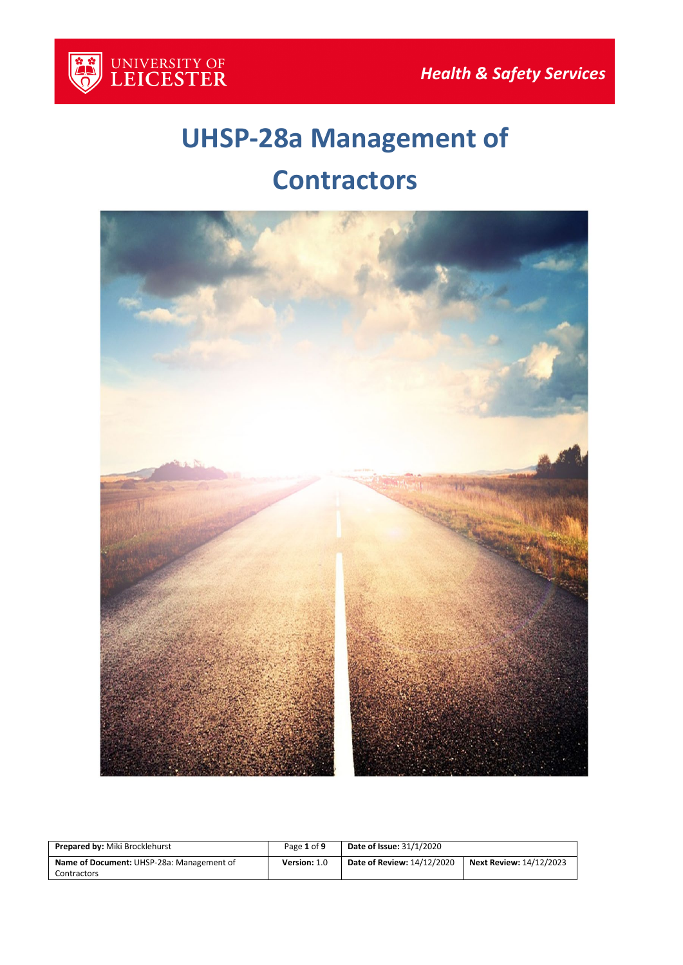

# **UHSP-28a Management of Contractors**



| <b>Prepared by: Miki Brocklehurst</b>     | Page 1 of 9  | <b>Date of Issue: 31/1/2020</b> |                                |
|-------------------------------------------|--------------|---------------------------------|--------------------------------|
| Name of Document: UHSP-28a: Management of | Version: 1.0 | Date of Review: 14/12/2020      | <b>Next Review: 14/12/2023</b> |
| Contractors                               |              |                                 |                                |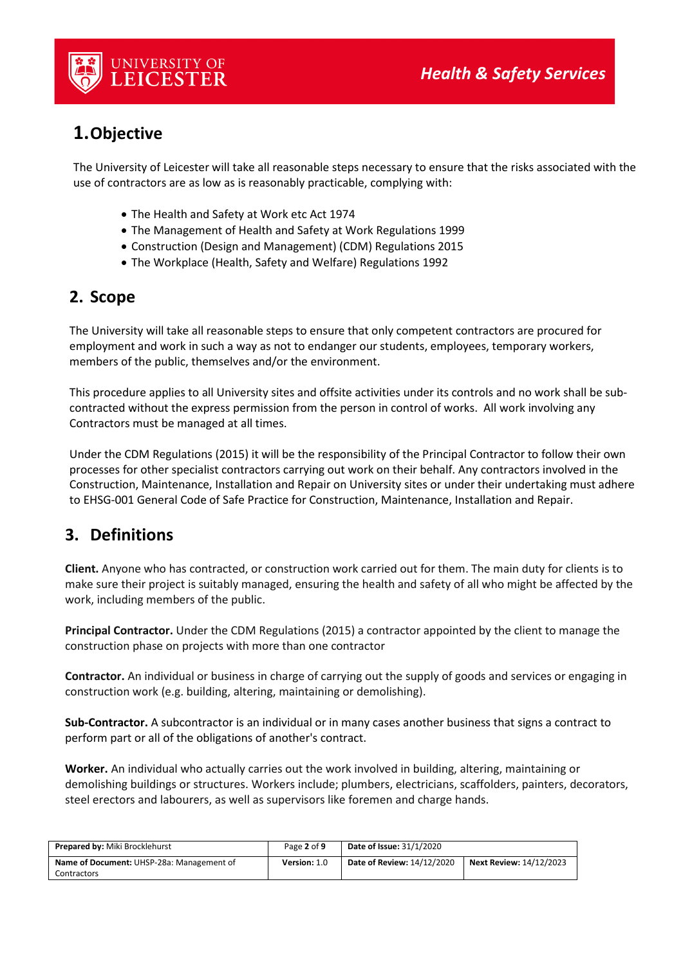

# **1.Objective**

The University of Leicester will take all reasonable steps necessary to ensure that the risks associated with the use of contractors are as low as is reasonably practicable, complying with:

- The Health and Safety at Work etc Act 1974
- The Management of Health and Safety at Work Regulations 1999
- Construction (Design and Management) (CDM) Regulations 2015
- The Workplace (Health, Safety and Welfare) Regulations 1992

# **2. Scope**

The University will take all reasonable steps to ensure that only competent contractors are procured for employment and work in such a way as not to endanger our students, employees, temporary workers, members of the public, themselves and/or the environment.

This procedure applies to all University sites and offsite activities under its controls and no work shall be subcontracted without the express permission from the person in control of works. All work involving any Contractors must be managed at all times.

Under the CDM Regulations (2015) it will be the responsibility of the Principal Contractor to follow their own processes for other specialist contractors carrying out work on their behalf. Any contractors involved in the Construction, Maintenance, Installation and Repair on University sites or under their undertaking must adhere to EHSG-001 General Code of Safe Practice for Construction, Maintenance, Installation and Repair.

# **3. Definitions**

**Client.** Anyone who has contracted, or construction work carried out for them. The main duty for clients is to make sure their project is suitably managed, ensuring the health and safety of all who might be affected by the work, including members of the public.

**Principal Contractor.** Under the CDM Regulations (2015) a contractor appointed by the client to manage the construction phase on projects with more than one contractor

**Contractor.** An individual or business in charge of carrying out the supply of goods and services or engaging in construction work (e.g. building, altering, maintaining or demolishing).

**Sub-Contractor.** A subcontractor is an individual or in many cases another business that signs a contract to perform part or all of the obligations of another's contract.

**Worker.** An individual who actually carries out the work involved in building, altering, maintaining or demolishing buildings or structures. Workers include; plumbers, electricians, scaffolders, painters, decorators, steel erectors and labourers, as well as supervisors like foremen and charge hands.

| <b>Prepared by: Miki Brocklehurst</b>     | Page 2 of 9  | <b>Date of Issue: 31/1/2020</b> |                                |
|-------------------------------------------|--------------|---------------------------------|--------------------------------|
| Name of Document: UHSP-28a: Management of | Version: 1.0 | Date of Review: 14/12/2020      | <b>Next Review: 14/12/2023</b> |
| Contractors                               |              |                                 |                                |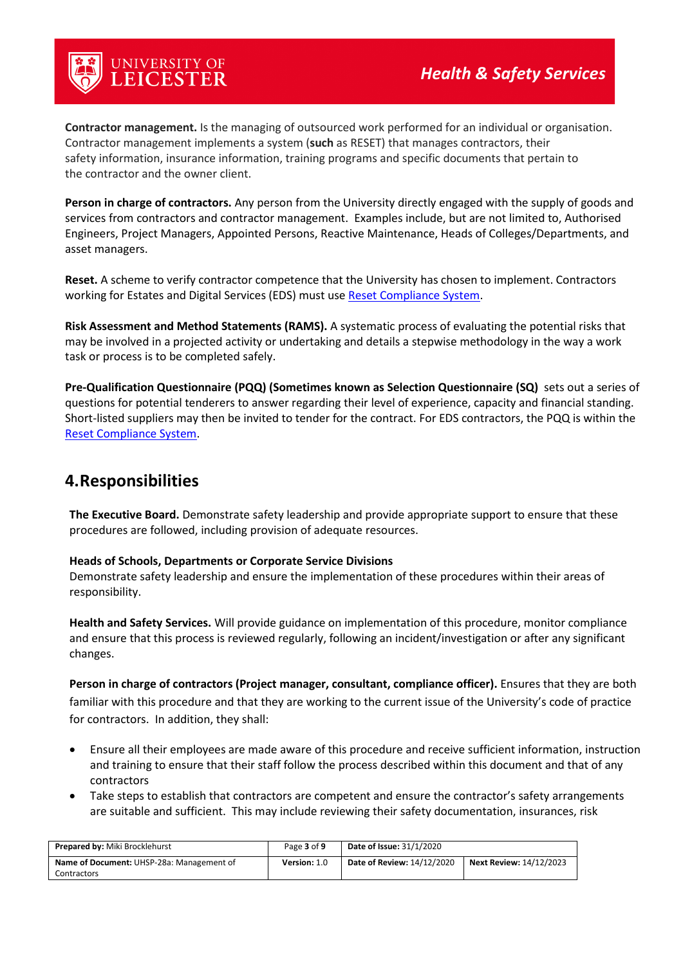

**Contractor management.** Is the managing of outsourced work performed for an individual or organisation. Contractor management implements a system (**such** as RESET) that manages contractors, their safety information, insurance information, training programs and specific documents that pertain to the contractor and the owner client.

**Person in charge of contractors.** Any person from the University directly engaged with the supply of goods and services from contractors and contractor management. Examples include, but are not limited to, Authorised Engineers, Project Managers, Appointed Persons, Reactive Maintenance, Heads of Colleges/Departments, and asset managers.

**Reset.** A scheme to verify contractor competence that the University has chosen to implement. Contractors working for Estates and Digital Services (EDS) must use Reset [Compliance System.](https://www.rcscard.co.uk/)

**Risk Assessment and Method Statements (RAMS).** A systematic process of evaluating the potential risks that may be involved in a projected activity or undertaking and details a stepwise methodology in the way a work task or process is to be completed safely.

**Pre-Qualification Questionnaire (PQQ) (Sometimes known as Selection Questionnaire (SQ)** sets out a series of questions for potential tenderers to answer regarding their level of experience, capacity and financial standing. Short-listed suppliers may then be invited to tender for the contract. For EDS contractors, the PQQ is within the Reset [Compliance System.](https://www.rcscard.co.uk/)

## **4.Responsibilities**

**The Executive Board.** Demonstrate safety leadership and provide appropriate support to ensure that these procedures are followed, including provision of adequate resources.

## **Heads of Schools, Departments or Corporate Service Divisions**

Demonstrate safety leadership and ensure the implementation of these procedures within their areas of responsibility.

**Health and Safety Services.** Will provide guidance on implementation of this procedure, monitor compliance and ensure that this process is reviewed regularly, following an incident/investigation or after any significant changes.

**Person in charge of contractors (Project manager, consultant, compliance officer).** Ensures that they are both familiar with this procedure and that they are working to the current issue of the University's code of practice for contractors. In addition, they shall:

- Ensure all their employees are made aware of this procedure and receive sufficient information, instruction and training to ensure that their staff follow the process described within this document and that of any contractors
- Take steps to establish that contractors are competent and ensure the contractor's safety arrangements are suitable and sufficient. This may include reviewing their safety documentation, insurances, risk

| <b>Prepared by: Miki Brocklehurst</b>     | Page 3 of 9  | <b>Date of Issue: 31/1/2020</b> |                                |
|-------------------------------------------|--------------|---------------------------------|--------------------------------|
| Name of Document: UHSP-28a: Management of | Version: 1.0 | Date of Review: 14/12/2020      | <b>Next Review: 14/12/2023</b> |
| Contractors                               |              |                                 |                                |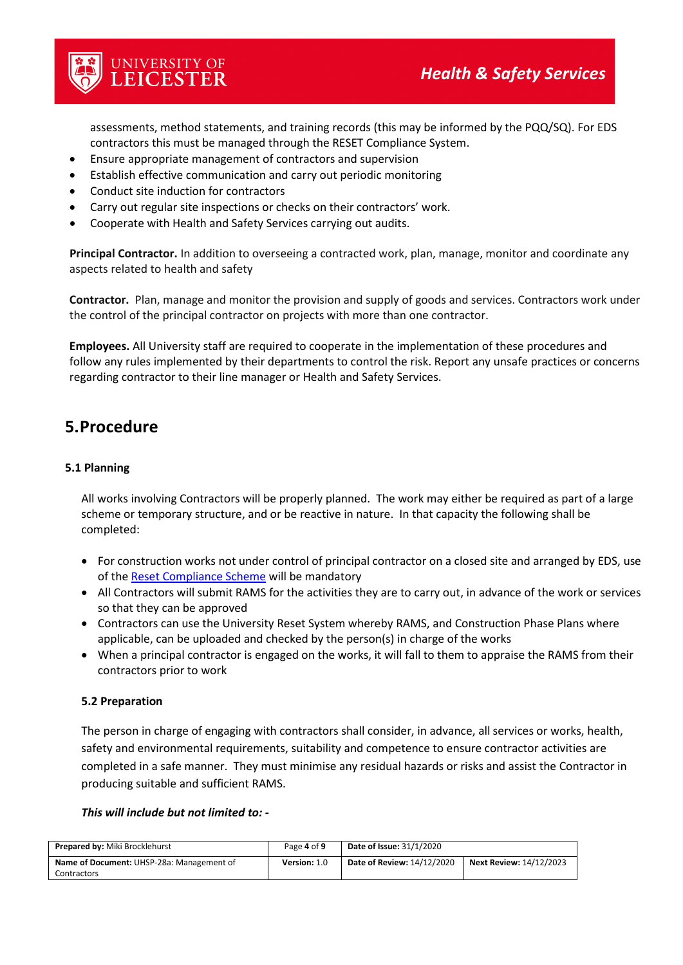

assessments, method statements, and training records (this may be informed by the PQQ/SQ). For EDS contractors this must be managed through the RESET Compliance System.

- Ensure appropriate management of contractors and supervision
- Establish effective communication and carry out periodic monitoring
- Conduct site induction for contractors

UNIVERSITY OF<br>**LEICESTER** 

- Carry out regular site inspections or checks on their contractors' work.
- Cooperate with Health and Safety Services carrying out audits.

**Principal Contractor.** In addition to overseeing a contracted work, plan, manage, monitor and coordinate any aspects related to health and safety

**Contractor.** Plan, manage and monitor the provision and supply of goods and services. Contractors work under the control of the principal contractor on projects with more than one contractor.

**Employees.** All University staff are required to cooperate in the implementation of these procedures and follow any rules implemented by their departments to control the risk. Report any unsafe practices or concerns regarding contractor to their line manager or Health and Safety Services.

## **5.Procedure**

#### **5.1 Planning**

All works involving Contractors will be properly planned. The work may either be required as part of a large scheme or temporary structure, and or be reactive in nature. In that capacity the following shall be completed:

- For construction works not under control of principal contractor on a closed site and arranged by EDS, use of the [Reset Compliance](https://www.rcscard.co.uk/) Scheme will be mandatory
- All Contractors will submit RAMS for the activities they are to carry out, in advance of the work or services so that they can be approved
- Contractors can use the University Reset System whereby RAMS, and Construction Phase Plans where applicable, can be uploaded and checked by the person(s) in charge of the works
- When a principal contractor is engaged on the works, it will fall to them to appraise the RAMS from their contractors prior to work

#### **5.2 Preparation**

The person in charge of engaging with contractors shall consider, in advance, all services or works, health, safety and environmental requirements, suitability and competence to ensure contractor activities are completed in a safe manner. They must minimise any residual hazards or risks and assist the Contractor in producing suitable and sufficient RAMS.

#### *This will include but not limited to: -*

| <b>Prepared by: Miki Brocklehurst</b>     | Page 4 of 9  | <b>Date of Issue: 31/1/2020</b> |                                |
|-------------------------------------------|--------------|---------------------------------|--------------------------------|
| Name of Document: UHSP-28a: Management of | Version: 1.0 | Date of Review: 14/12/2020      | <b>Next Review: 14/12/2023</b> |
| Contractors                               |              |                                 |                                |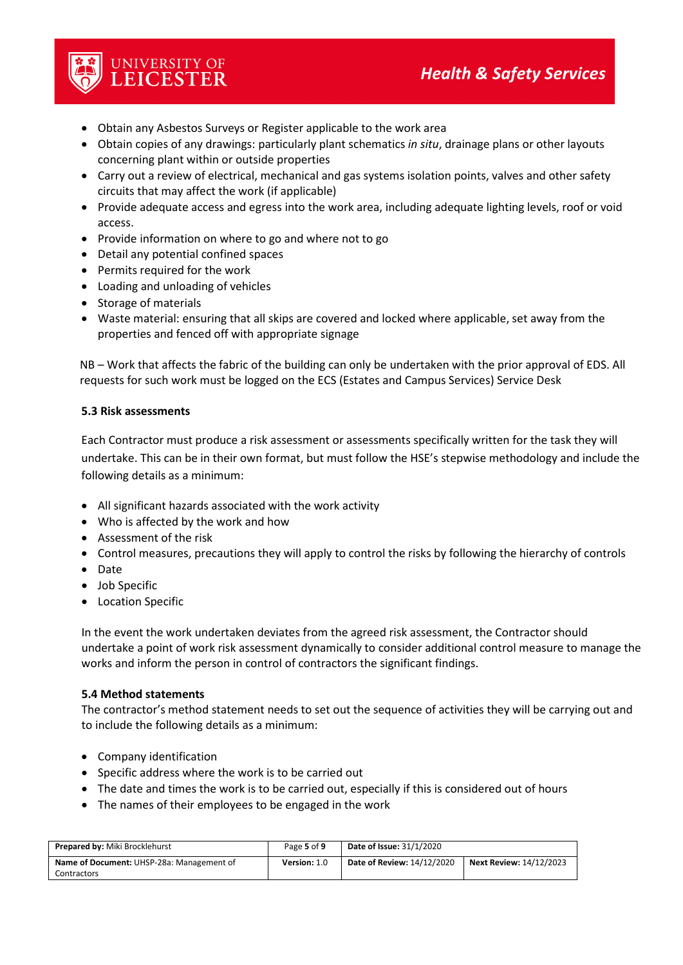- Obtain any Asbestos Surveys or Register applicable to the work area
- Obtain copies of any drawings: particularly plant schematics *in situ*, drainage plans or other layouts concerning plant within or outside properties
- Carry out a review of electrical, mechanical and gas systems isolation points, valves and other safety circuits that may affect the work (if applicable)
- Provide adequate access and egress into the work area, including adequate lighting levels, roof or void access.
- Provide information on where to go and where not to go
- Detail any potential confined spaces
- Permits required for the work

UNIVERSITY OF **LEICESTER** 

- Loading and unloading of vehicles
- Storage of materials
- Waste material: ensuring that all skips are covered and locked where applicable, set away from the properties and fenced off with appropriate signage

NB – Work that affects the fabric of the building can only be undertaken with the prior approval of EDS. All requests for such work must be logged on the ECS (Estates and Campus Services) Service Desk

#### **5.3 Risk assessments**

Each Contractor must produce a risk assessment or assessments specifically written for the task they will undertake. This can be in their own format, but must follow the HSE's stepwise methodology and include the following details as a minimum:

- All significant hazards associated with the work activity
- Who is affected by the work and how
- Assessment of the risk
- Control measures, precautions they will apply to control the risks by following the hierarchy of controls
- Date
- Job Specific
- Location Specific

In the event the work undertaken deviates from the agreed risk assessment, the Contractor should undertake a point of work risk assessment dynamically to consider additional control measure to manage the works and inform the person in control of contractors the significant findings.

#### **5.4 Method statements**

The contractor's method statement needs to set out the sequence of activities they will be carrying out and to include the following details as a minimum:

- Company identification
- Specific address where the work is to be carried out
- The date and times the work is to be carried out, especially if this is considered out of hours
- The names of their employees to be engaged in the work

| <b>Prepared by: Miki Brocklehurst</b>     | Page 5 of 9  | <b>Date of Issue: 31/1/2020</b> |                                |
|-------------------------------------------|--------------|---------------------------------|--------------------------------|
| Name of Document: UHSP-28a: Management of | Version: 1.0 | Date of Review: 14/12/2020      | <b>Next Review: 14/12/2023</b> |
| Contractors                               |              |                                 |                                |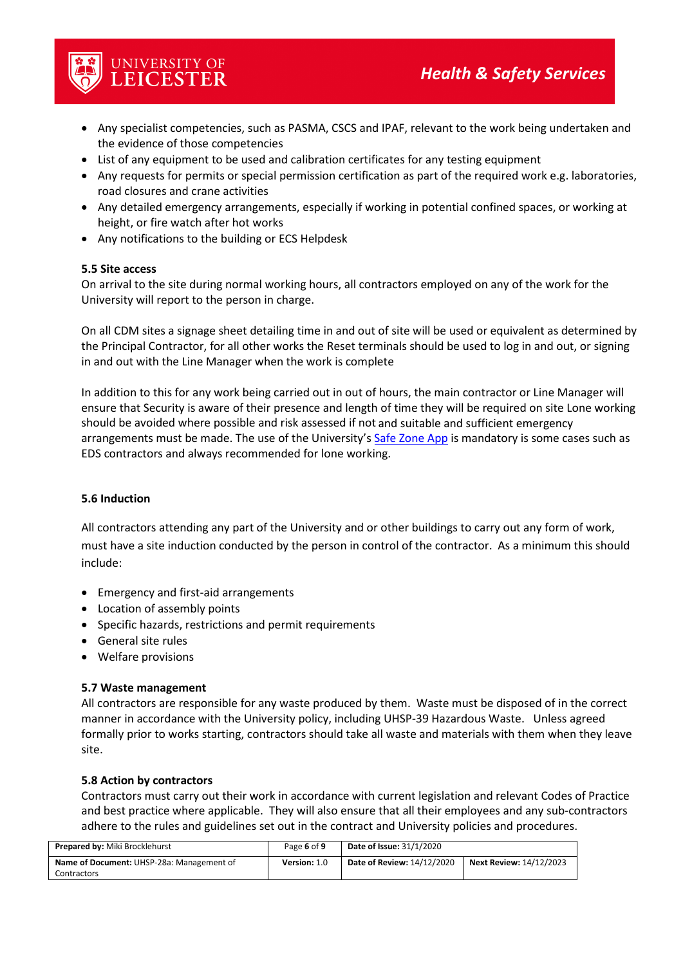

- List of any equipment to be used and calibration certificates for any testing equipment
- Any requests for permits or special permission certification as part of the required work e.g. laboratories, road closures and crane activities
- Any detailed emergency arrangements, especially if working in potential confined spaces, or working at height, or fire watch after hot works
- Any notifications to the building or ECS Helpdesk

UNIVERSITY OF **LEICESTER** 

#### **5.5 Site access**

On arrival to the site during normal working hours, all contractors employed on any of the work for the University will report to the person in charge.

On all CDM sites a signage sheet detailing time in and out of site will be used or equivalent as determined by the Principal Contractor, for all other works the Reset terminals should be used to log in and out, or signing in and out with the Line Manager when the work is complete

In addition to this for any work being carried out in out of hours, the main contractor or Line Manager will ensure that Security is aware of their presence and length of time they will be required on site Lone working should be avoided where possible and risk assessed if not and suitable and sufficient emergency arrangements must be made. The use of the University's [Safe Zone App](https://uniofleicester.sharepoint.com/sites/staff/return-campus/Shared%20Documents/Forms/AllItems.aspx?id=%2Fsites%2Fstaff%2Freturn%2Dcampus%2FShared%20Documents%2FUsing%20the%20SafeZone%20Desktop%20App%2Epdf&parent=%2Fsites%2Fstaff%2Freturn%2Dcampus%2FShared%20Documents) is mandatory is some cases such as EDS contractors and always recommended for lone working.

#### **5.6 Induction**

All contractors attending any part of the University and or other buildings to carry out any form of work, must have a site induction conducted by the person in control of the contractor. As a minimum this should include:

- Emergency and first-aid arrangements
- Location of assembly points
- Specific hazards, restrictions and permit requirements
- General site rules
- Welfare provisions

#### **5.7 Waste management**

All contractors are responsible for any waste produced by them. Waste must be disposed of in the correct manner in accordance with the University policy, including UHSP-39 Hazardous Waste. Unless agreed formally prior to works starting, contractors should take all waste and materials with them when they leave site.

#### **5.8 Action by contractors**

Contractors must carry out their work in accordance with current legislation and relevant Codes of Practice and best practice where applicable. They will also ensure that all their employees and any sub-contractors adhere to the rules and guidelines set out in the contract and University policies and procedures.

| <b>Prepared by: Miki Brocklehurst</b>                    | Page 6 of 9  | <b>Date of Issue: 31/1/2020</b>   |                                |
|----------------------------------------------------------|--------------|-----------------------------------|--------------------------------|
| Name of Document: UHSP-28a: Management of<br>Contractors | Version: 1.0 | <b>Date of Review: 14/12/2020</b> | <b>Next Review: 14/12/2023</b> |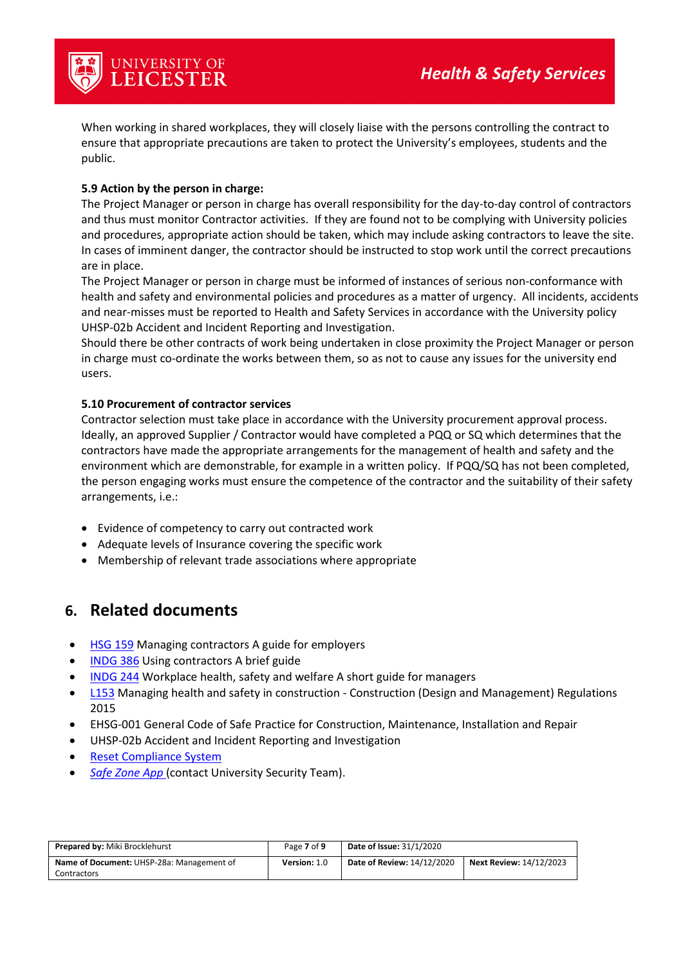

When working in shared workplaces, they will closely liaise with the persons controlling the contract to ensure that appropriate precautions are taken to protect the University's employees, students and the public.

## **5.9 Action by the person in charge:**

The Project Manager or person in charge has overall responsibility for the day-to-day control of contractors and thus must monitor Contractor activities. If they are found not to be complying with University policies and procedures, appropriate action should be taken, which may include asking contractors to leave the site. In cases of imminent danger, the contractor should be instructed to stop work until the correct precautions are in place.

The Project Manager or person in charge must be informed of instances of serious non-conformance with health and safety and environmental policies and procedures as a matter of urgency. All incidents, accidents and near-misses must be reported to Health and Safety Services in accordance with the University policy UHSP-02b Accident and Incident Reporting and Investigation.

Should there be other contracts of work being undertaken in close proximity the Project Manager or person in charge must co-ordinate the works between them, so as not to cause any issues for the university end users.

## **5.10 Procurement of contractor services**

Contractor selection must take place in accordance with the University procurement approval process. Ideally, an approved Supplier / Contractor would have completed a PQQ or SQ which determines that the contractors have made the appropriate arrangements for the management of health and safety and the environment which are demonstrable, for example in a written policy. If PQQ/SQ has not been completed, the person engaging works must ensure the competence of the contractor and the suitability of their safety arrangements, i.e.:

- Evidence of competency to carry out contracted work
- Adequate levels of Insurance covering the specific work
- Membership of relevant trade associations where appropriate

## **6. Related documents**

- [HSG 159](http://www.hse.gov.uk/pUbns/priced/hsg159.pdf) Managing contractors A guide for employers
- **[INDG 386](http://www.hse.gov.uk/pubns/indg368.pdf)** Using contractors A brief guide
- [INDG 244](http://www.hse.gov.uk/pubns/indg244.pdf) Workplace health, safety and welfare A short guide for managers
- [L153](http://www.hse.gov.uk/pubns/priced/l153.pdf) Managing health and safety in construction Construction (Design and Management) Regulations 2015
- EHSG-001 General Code of Safe Practice for Construction, Maintenance, Installation and Repair
- UHSP-02b Accident and Incident Reporting and Investigation
- Reset [Compliance System](https://www.rcscard.co.uk/)
- *[Safe Zone App](https://uniofleicester.sharepoint.com/sites/staff/return-campus/Shared%20Documents/Forms/AllItems.aspx?id=%2Fsites%2Fstaff%2Freturn%2Dcampus%2FShared%20Documents%2FUsing%20the%20SafeZone%20Desktop%20App%2Epdf&parent=%2Fsites%2Fstaff%2Freturn%2Dcampus%2FShared%20Documents)* (contact University Security Team).

| <b>Prepared by: Miki Brocklehurst</b>     | Page 7 of 9  | <b>Date of Issue: 31/1/2020</b> |                                |
|-------------------------------------------|--------------|---------------------------------|--------------------------------|
| Name of Document: UHSP-28a: Management of | Version: 1.0 | Date of Review: 14/12/2020      | <b>Next Review: 14/12/2023</b> |
| Contractors                               |              |                                 |                                |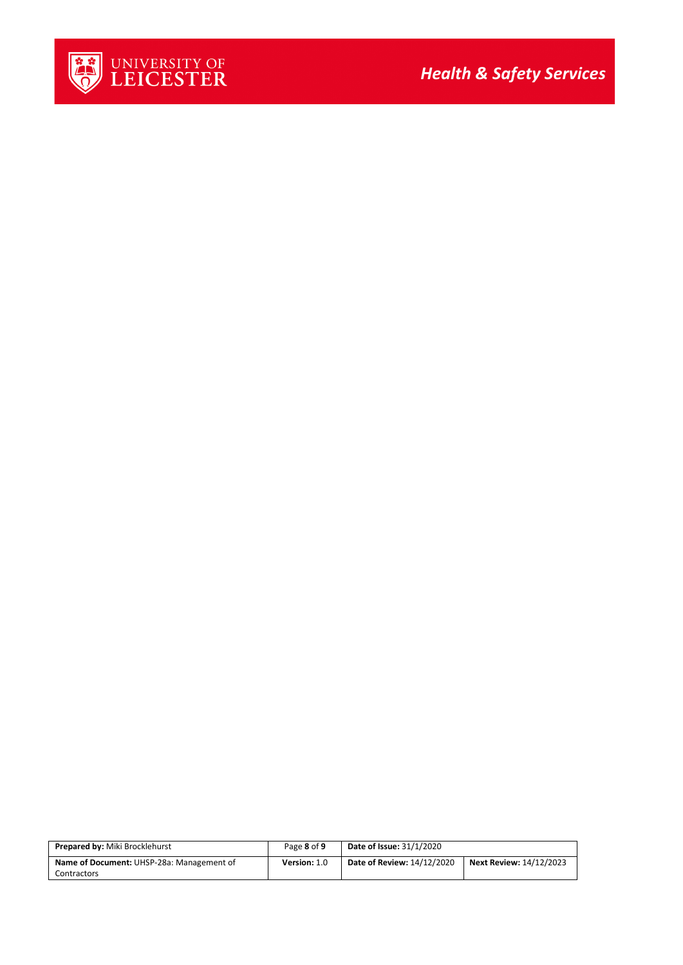

| <b>Prepared by: Miki Brocklehurst</b>     | Page 8 of 9  | <b>Date of Issue: 31/1/2020</b> |                                |
|-------------------------------------------|--------------|---------------------------------|--------------------------------|
| Name of Document: UHSP-28a: Management of | Version: 1.0 | Date of Review: 14/12/2020      | <b>Next Review: 14/12/2023</b> |
| Contractors                               |              |                                 |                                |